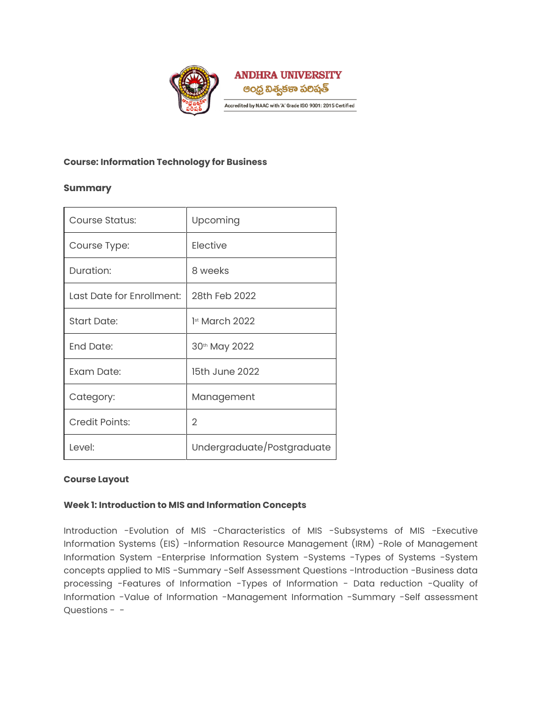

### **Course: Information Technology for Business**

# **Summary**

| Course Status:            | Upcoming                   |
|---------------------------|----------------------------|
| Course Type:              | Elective                   |
| Duration:                 | 8 weeks                    |
| Last Date for Enrollment: | 28th Feb 2022              |
| <b>Start Date:</b>        | 1 <sup>st</sup> March 2022 |
| <b>End Date:</b>          | 30th May 2022              |
| Exam Date:                | 15th June 2022             |
| Category:                 | Management                 |
| <b>Credit Points:</b>     | 2                          |
| Level:                    | Undergraduate/Postgraduate |

# **Course Layout**

#### **Week 1: Introduction to MIS and Information Concepts**

Introduction -Evolution of MIS -Characteristics of MIS -Subsystems of MIS -Executive Information Systems (EIS) -Information Resource Management (IRM) -Role of Management Information System -Enterprise Information System -Systems -Types of Systems -System concepts applied to MIS -Summary -Self Assessment Questions -Introduction -Business data processing -Features of Information -Types of Information - Data reduction -Quality of Information -Value of Information -Management Information -Summary -Self assessment Questions - -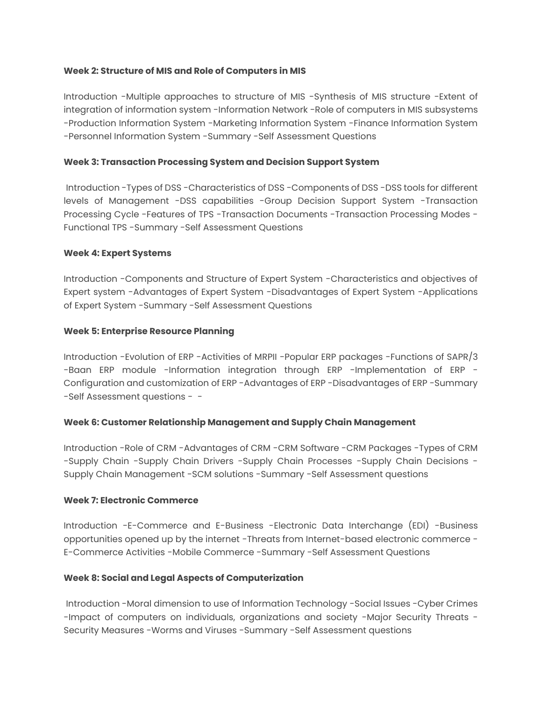#### **Week 2: Structure of MIS and Role of Computers in MIS**

Introduction -Multiple approaches to structure of MIS -Synthesis of MIS structure -Extent of integration of information system -Information Network -Role of computers in MIS subsystems -Production Information System -Marketing Information System -Finance Information System -Personnel Information System -Summary -Self Assessment Questions

### **Week 3: Transaction Processing System and Decision Support System**

Introduction -Types of DSS -Characteristics of DSS -Components of DSS -DSS tools for different levels of Management -DSS capabilities -Group Decision Support System -Transaction Processing Cycle -Features of TPS -Transaction Documents -Transaction Processing Modes - Functional TPS -Summary -Self Assessment Questions

### **Week 4: Expert Systems**

Introduction -Components and Structure of Expert System -Characteristics and objectives of Expert system -Advantages of Expert System -Disadvantages of Expert System -Applications of Expert System -Summary -Self Assessment Questions

### **Week 5: Enterprise Resource Planning**

Introduction -Evolution of ERP -Activities of MRPII -Popular ERP packages -Functions of SAPR/3 -Baan ERP module -Information integration through ERP -Implementation of ERP - Configuration and customization of ERP -Advantages of ERP -Disadvantages of ERP -Summary -Self Assessment questions - -

# **Week 6: Customer Relationship Management and Supply Chain Management**

Introduction -Role of CRM -Advantages of CRM -CRM Software -CRM Packages -Types of CRM -Supply Chain -Supply Chain Drivers -Supply Chain Processes -Supply Chain Decisions - Supply Chain Management -SCM solutions -Summary -Self Assessment questions

#### **Week 7: Electronic Commerce**

Introduction -E-Commerce and E-Business -Electronic Data Interchange (EDI) -Business opportunities opened up by the internet -Threats from Internet-based electronic commerce - E-Commerce Activities -Mobile Commerce -Summary -Self Assessment Questions

# **Week 8: Social and Legal Aspects of Computerization**

Introduction -Moral dimension to use of Information Technology -Social Issues -Cyber Crimes -Impact of computers on individuals, organizations and society -Major Security Threats - Security Measures -Worms and Viruses -Summary -Self Assessment questions